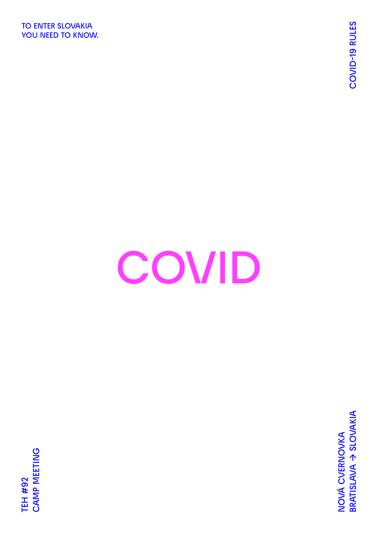**TO ENTER SLOVAKIA YOU NEED TO KNOW.**

## **COVID**

**BRATISLAVA → SLOVAKIA COVID-19 RULES** BRATISLAVA > SLOVAKIA NOVÁ CVERNOVKA **NOVÁ CVERNOVKA**

**CAMP MEETING**  CAMP MEETING **TEH #92 TEH #92**